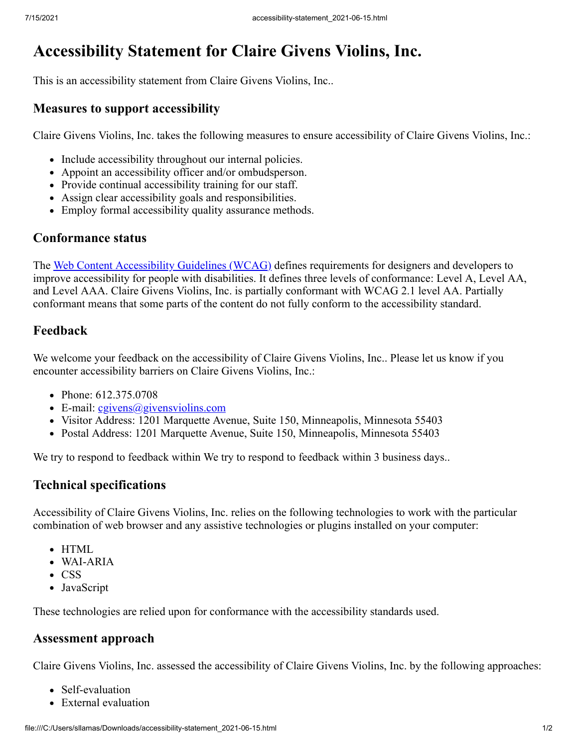# **Accessibility Statement for Claire Givens Violins, Inc.**

This is an accessibility statement from Claire Givens Violins, Inc..

#### **Measures to support accessibility**

Claire Givens Violins, Inc. takes the following measures to ensure accessibility of Claire Givens Violins, Inc.:

- Include accessibility throughout our internal policies.
- Appoint an accessibility officer and/or ombudsperson.
- Provide continual accessibility training for our staff.
- Assign clear accessibility goals and responsibilities.
- Employ formal accessibility quality assurance methods.

#### **Conformance status**

The [Web Content Accessibility Guidelines \(WCAG\)](https://www.w3.org/WAI/standards-guidelines/wcag/) defines requirements for designers and developers to improve accessibility for people with disabilities. It defines three levels of conformance: Level A, Level AA, and Level AAA. Claire Givens Violins, Inc. is partially conformant with WCAG 2.1 level AA. Partially conformant means that some parts of the content do not fully conform to the accessibility standard.

### **Feedback**

We welcome your feedback on the accessibility of Claire Givens Violins, Inc.. Please let us know if you encounter accessibility barriers on Claire Givens Violins, Inc.:

- Phone: 612.375.0708
- E-mail:  $c$ givens $(a)$ givensviolins.com
- Visitor Address: 1201 Marquette Avenue, Suite 150, Minneapolis, Minnesota 55403
- Postal Address: 1201 Marquette Avenue, Suite 150, Minneapolis, Minnesota 55403

We try to respond to feedback within We try to respond to feedback within 3 business days..

#### **Technical specifications**

Accessibility of Claire Givens Violins, Inc. relies on the following technologies to work with the particular combination of web browser and any assistive technologies or plugins installed on your computer:

- HTML
- WAI-ARIA
- CSS
- JavaScript

These technologies are relied upon for conformance with the accessibility standards used.

#### **Assessment approach**

Claire Givens Violins, Inc. assessed the accessibility of Claire Givens Violins, Inc. by the following approaches:

- Self-evaluation
- External evaluation